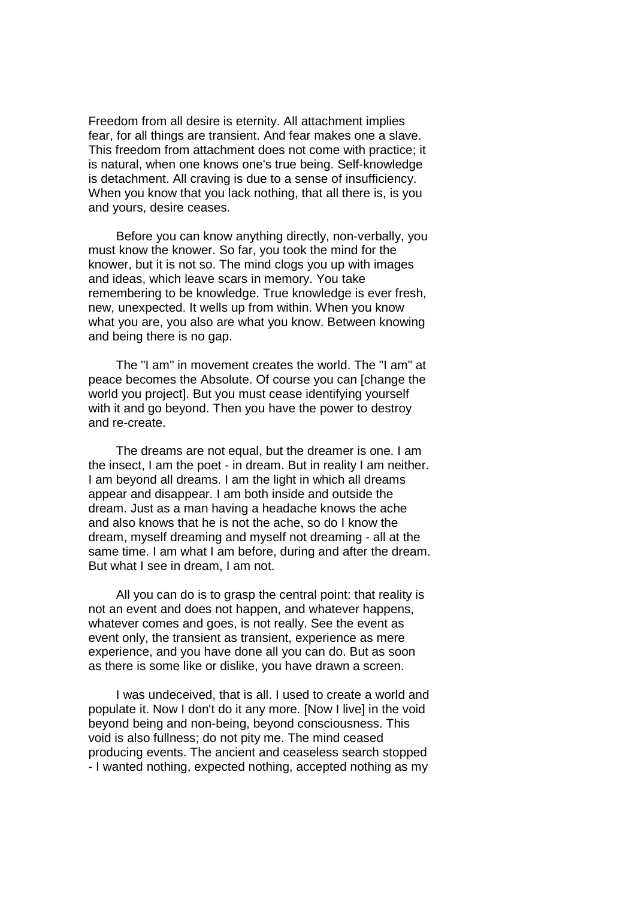Freedom from all desire is eternity. All attachment implies fear, for all things are transient. And fear makes one a slave. This freedom from attachment does not come with practice; it is natural, when one knows one's true being. Self-knowledge is detachment. All craving is due to a sense of insufficiency. When you know that you lack nothing, that all there is, is you and yours, desire ceases.

 Before you can know anything directly, non-verbally, you must know the knower. So far, you took the mind for the knower, but it is not so. The mind clogs you up with images and ideas, which leave scars in memory. You take remembering to be knowledge. True knowledge is ever fresh, new, unexpected. It wells up from within. When you know what you are, you also are what you know. Between knowing and being there is no gap.

 The "I am" in movement creates the world. The "I am" at peace becomes the Absolute. Of course you can [change the world you project]. But you must cease identifying yourself with it and go beyond. Then you have the power to destroy and re-create.

 The dreams are not equal, but the dreamer is one. I am the insect, I am the poet - in dream. But in reality I am neither. I am beyond all dreams. I am the light in which all dreams appear and disappear. I am both inside and outside the dream. Just as a man having a headache knows the ache and also knows that he is not the ache, so do I know the dream, myself dreaming and myself not dreaming - all at the same time. I am what I am before, during and after the dream. But what I see in dream, I am not.

 All you can do is to grasp the central point: that reality is not an event and does not happen, and whatever happens, whatever comes and goes, is not really. See the event as event only, the transient as transient, experience as mere experience, and you have done all you can do. But as soon as there is some like or dislike, you have drawn a screen.

 I was undeceived, that is all. I used to create a world and populate it. Now I don't do it any more. [Now I live] in the void beyond being and non-being, beyond consciousness. This void is also fullness; do not pity me. The mind ceased producing events. The ancient and ceaseless search stopped - I wanted nothing, expected nothing, accepted nothing as my